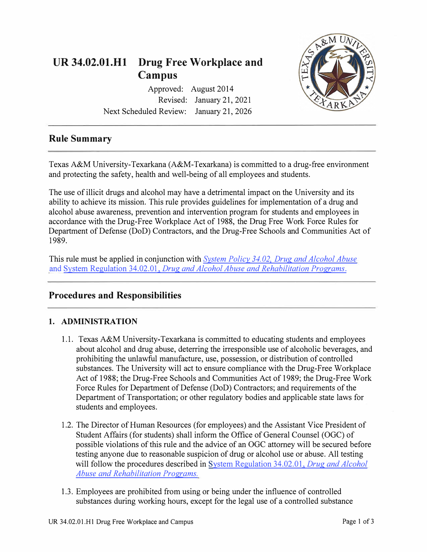

Approved: August 2014 Revised: January 21, 2021 Next Scheduled Review: January 21, 2026



# **Rule Summary**

Texas A&M University-Texarkana (A&M-Texarkana) is committed to a drug-free environment and protecting the safety, health and well-being of all employees and students.

The use of illicit drugs and alcohol may have a detrimental impact on the University and its ability to achieve its mission. This rule provides guidelines for implementation of a drug and alcohol abuse awareness, prevention and intervention program for students and employees in accordance with the Drug-Free Workplace Act of 1988, the Drug Free Work Force Rules for Department of Defense (DoD) Contractors, and the Drug-Free Schools and Communities Act of 1989.

This rule must be applied in conjunction with *[System Policy 34.02. Drug and Alcohol Abuse](https://policies.tamus.edu/34-02.pdf)*  and System Regulation 34.02.01, *[Drug and Alcohol Abuse and Rehabilitation](https://policies.tamus.edu/34-02-01.pdf) Programs.* 

## **Procedures and Responsibilities**

#### **1. ADMINISTRATION**

- 1.1. Texas A&M University-Texarkana is committed to educating students and employees about alcohol and drug abuse, deterring the irresponsible use of alcoholic beverages, and prohibiting the unlawful manufacture, use, possession, or distribution of controlled substances. The University will act to ensure compliance with the Drug-Free Workplace Act of 1988; the Drug-Free Schools and Communities Act of 1989; the Drug-Free Work Force Rules for Department of Defense (DoD) Contractors; and requirements of the Department of Transportation; or other regulatory bodies and applicable state laws for students and employees.
- 1.2. The Director of Human Resources (for employees) and the Assistant Vice President of Student Affairs (for students) shall inform the Office of General Counsel (OGC) of possible violations of this rule and the advice of an OGC attorney will be secured before testing anyone due to reasonable suspicion of drug or alcohol use or abuse. All testing will follow the procedures described in [System Regulation 34.02.01,](https://policies.tamus.edu/34-02-01.pdf) *Drug and Alcohol Abuse and [Rehabilitation Programs.](https://policies.tamus.edu/34-02-01.pdf)*
- 1.3. Employees are prohibited from using or being under the influence of controlled substances during working hours, except for the legal use of a controlled substance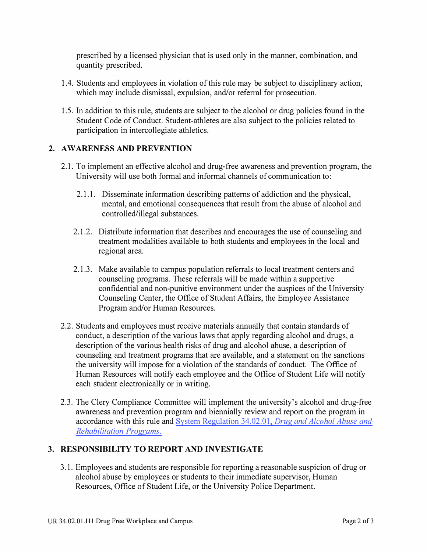prescribed by a licensed physician that is used only in the manner, combination, and quantity prescribed.

- 1 .4. Students and employees in violation of this rule may be subject to disciplinary action, which may include dismissal, expulsion, and/or referral for prosecution.
- 1.5. In addition to this rule, students are subject to the alcohol or drug policies found in the Student Code of Conduct. Student-athletes are also subject to the policies related to participation in intercollegiate athletics.

#### **2. AWARENESS AND PREVENTION**

- 2.1. To implement an effective alcohol and drug-free awareness and prevention program, the University will use both formal and informal channels of communication to:
	- 2.1.1. Disseminate information describing patterns of addiction and the physical, mental, and emotional consequences that result from the abuse of alcohol and controlled/illegal substances.
	- 2.1.2. Distribute information that describes and encourages the use of counseling and treatment modalities available to both students and employees in the local and regional area.
	- 2.1.3. Make available to campus population referrals to local treatment centers and counseling programs. These referrals will be made within a supportive confidential and non-punitive environment under the auspices of the University Counseling Center, the Office of Student Affairs, the Employee Assistance Program and/or Human Resources.
- 2.2. Students and employees must receive materials annually that contain standards of conduct, a description of the various laws that apply regarding alcohol and drugs, a description of the various health risks of drug and alcohol abuse, a description of counseling and treatment programs that are available, and a statement on the sanctions the university will impose for a violation of the standards of conduct. The Office of Human Resources will notify each employee and the Office of Student Life will notify each student electronically or in writing.
- 2.3. The Clery Compliance Committee will implement the university's alcohol and drug-free awareness and prevention program and biennially review and report on the program in accordance with this rule an[d System Regulation 34.02.01,](https://policies.tamus.edu/34-02-01.pdf) *Drug and Alcohol Abuse and [Rehabilitation Programs.](https://policies.tamus.edu/34-02-01.pdf)*

## **3. RESPONSIBILITY TO REPORT AND INVESTIGATE**

3 .1. Employees and students are responsible for reporting a reasonable suspicion of drug or alcohol abuse by employees or students to their immediate supervisor, Human Resources, Office of Student Life, or the University Police Department.